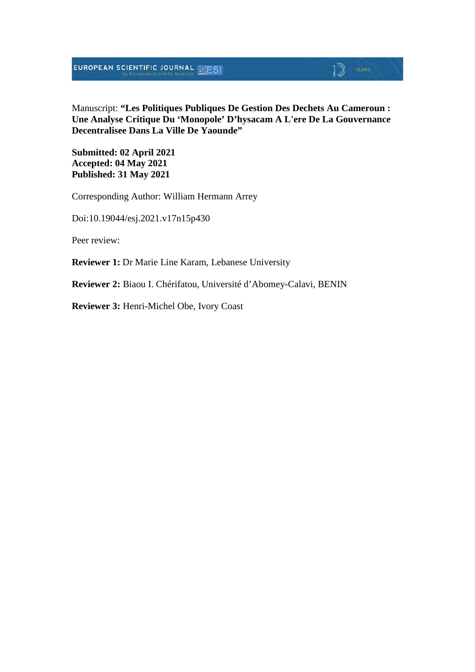#### Manuscript: **"Les Politiques Publiques De Gestion Des Dechets Au Cameroun : Une Analyse Critique Du 'Monopole' D'hysacam A L'ere De La Gouvernance Decentralisee Dans La Ville De Yaounde"**

 $\mathbb{D}$  YEARS

**Submitted: 02 April 2021 Accepted: 04 May 2021 Published: 31 May 2021**

Corresponding Author: William Hermann Arrey

Doi:10.19044/esj.2021.v17n15p430

Peer review:

**Reviewer 1:** Dr Marie Line Karam, Lebanese University

**Reviewer 2:** Biaou I. Chérifatou, Université d'Abomey-Calavi, BENIN

**Reviewer 3:** Henri-Michel Obe, Ivory Coast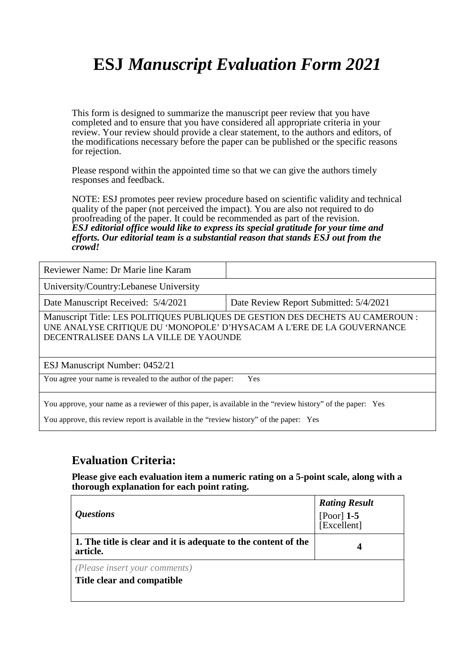# **ESJ** *Manuscript Evaluation Form 2021*

This form is designed to summarize the manuscript peer review that you have completed and to ensure that you have considered all appropriate criteria in your review. Your review should provide a clear statement, to the authors and editors, of the modifications necessary before the paper can be published or the specific reasons for rejection.

Please respond within the appointed time so that we can give the authors timely responses and feedback.

NOTE: ESJ promotes peer review procedure based on scientific validity and technical quality of the paper (not perceived the impact). You are also not required to do proofreading of the paper. It could be recommended as part of the revision. *ESJ editorial office would like to express its special gratitude for your time and efforts. Our editorial team is a substantial reason that stands ESJ out from the crowd!* 

Reviewer Name: Dr Marie line Karam

University/Country:Lebanese University

Date Manuscript Received: 5/4/2021 Date Review Report Submitted: 5/4/2021

Manuscript Title: LES POLITIQUES PUBLIQUES DE GESTION DES DECHETS AU CAMEROUN : UNE ANALYSE CRITIQUE DU 'MONOPOLE' D'HYSACAM A L'ERE DE LA GOUVERNANCE DECENTRALISEE DANS LA VILLE DE YAOUNDE

ESJ Manuscript Number: 0452/21

You agree your name is revealed to the author of the paper: Yes

You approve, your name as a reviewer of this paper, is available in the "review history" of the paper: Yes

You approve, this review report is available in the "review history" of the paper: Yes

#### **Evaluation Criteria:**

**Please give each evaluation item a numeric rating on a 5-point scale, along with a thorough explanation for each point rating.**

| <i><b>Questions</b></i>                                                    | <b>Rating Result</b><br>[Poor] $1-5$<br>[Excellent] |
|----------------------------------------------------------------------------|-----------------------------------------------------|
| 1. The title is clear and it is adequate to the content of the<br>article. | 4                                                   |
| (Please insert your comments)<br>Title clear and compatible                |                                                     |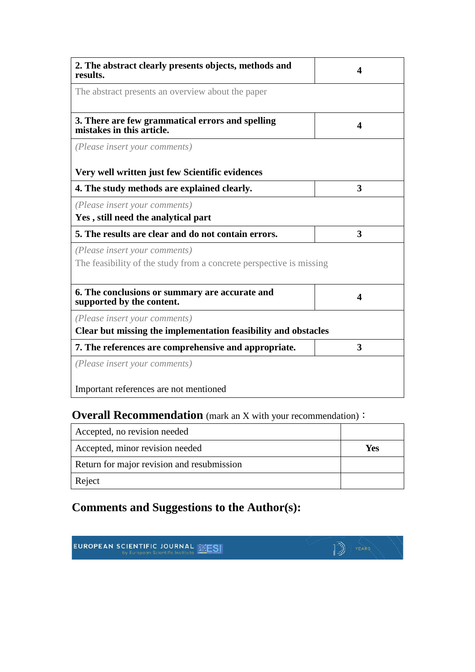| 2. The abstract clearly presents objects, methods and<br>results.                                    | $\boldsymbol{4}$ |
|------------------------------------------------------------------------------------------------------|------------------|
| The abstract presents an overview about the paper                                                    |                  |
| 3. There are few grammatical errors and spelling<br>mistakes in this article.                        | 4                |
| (Please insert your comments)                                                                        |                  |
| Very well written just few Scientific evidences                                                      |                  |
| 4. The study methods are explained clearly.                                                          | 3                |
| (Please insert your comments)<br>Yes, still need the analytical part                                 |                  |
| 5. The results are clear and do not contain errors.                                                  | 3                |
| (Please insert your comments)<br>The feasibility of the study from a concrete perspective is missing |                  |
| 6. The conclusions or summary are accurate and<br>supported by the content.                          | 4                |
| (Please insert your comments)                                                                        |                  |
| Clear but missing the implementation feasibility and obstacles                                       |                  |
| 7. The references are comprehensive and appropriate.                                                 | 3                |
| (Please insert your comments)                                                                        |                  |
| Important references are not mentioned                                                               |                  |

### **Overall Recommendation** (mark an X with your recommendation):

| Accepted, no revision needed               |     |
|--------------------------------------------|-----|
| Accepted, minor revision needed            | Yes |
| Return for major revision and resubmission |     |
| Reject                                     |     |

### **Comments and Suggestions to the Author(s):**

**EUROPEAN SCIENTIFIC JOURNAL SESI**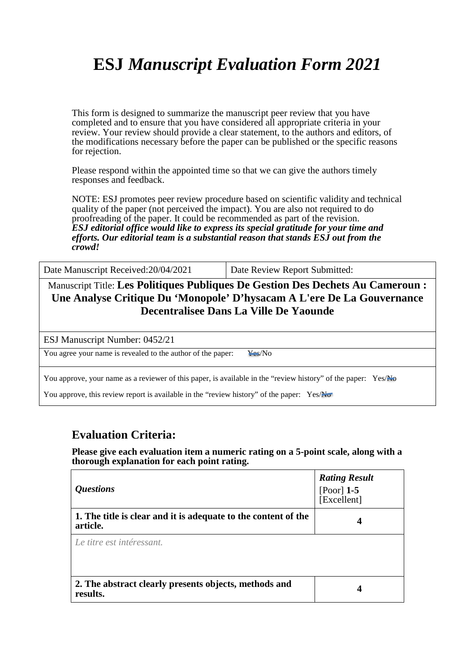# **ESJ** *Manuscript Evaluation Form 2021*

This form is designed to summarize the manuscript peer review that you have completed and to ensure that you have considered all appropriate criteria in your review. Your review should provide a clear statement, to the authors and editors, of the modifications necessary before the paper can be published or the specific reasons for rejection.

Please respond within the appointed time so that we can give the authors timely responses and feedback.

NOTE: ESJ promotes peer review procedure based on scientific validity and technical quality of the paper (not perceived the impact). You are also not required to do proofreading of the paper. It could be recommended as part of the revision. *ESJ editorial office would like to express its special gratitude for your time and efforts. Our editorial team is a substantial reason that stands ESJ out from the crowd!* 

Date Manuscript Received: 20/04/2021 Date Review Report Submitted:

Manuscript Title: **Les Politiques Publiques De Gestion Des Dechets Au Cameroun : Une Analyse Critique Du 'Monopole' D'hysacam A L'ere De La Gouvernance Decentralisee Dans La Ville De Yaounde**

ESJ Manuscript Number: 0452/21

You agree your name is revealed to the author of the paper: Yes/No

You approve, your name as a reviewer of this paper, is available in the "review history" of the paper: Yes/No

You approve, this review report is available in the "review history" of the paper:  $Yes/N\sigma$ 

#### **Evaluation Criteria:**

**Please give each evaluation item a numeric rating on a 5-point scale, along with a thorough explanation for each point rating.**

| <i><b>Questions</b></i>                                                    | <b>Rating Result</b><br>$[Poor]$ 1-5<br>[Excellent] |
|----------------------------------------------------------------------------|-----------------------------------------------------|
| 1. The title is clear and it is adequate to the content of the<br>article. |                                                     |
| Le titre est intéressant.                                                  |                                                     |
| 2. The abstract clearly presents objects, methods and<br>results.          |                                                     |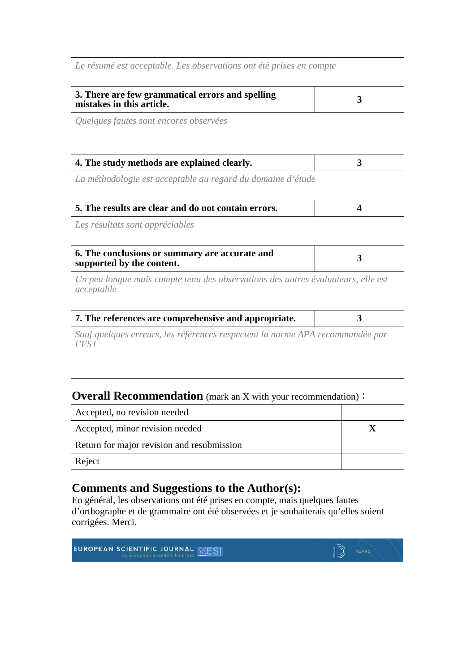| Le résumé est acceptable. Les observations ont été prises en compte                            |   |
|------------------------------------------------------------------------------------------------|---|
| 3. There are few grammatical errors and spelling<br>mistakes in this article.                  | 3 |
| Quelques fautes sont encores observées                                                         |   |
| 4. The study methods are explained clearly.                                                    | 3 |
| La méthodologie est acceptable au regard du domaine d'étude                                    |   |
| 5. The results are clear and do not contain errors.                                            | 4 |
| Les résultats sont appréciables                                                                |   |
| 6. The conclusions or summary are accurate and<br>supported by the content.                    | 3 |
| Un peu longue mais compte tenu des observations des autres évaluateurs, elle est<br>acceptable |   |
| 7. The references are comprehensive and appropriate.                                           | 3 |
| Sauf quelques erreurs, les références respectent la norme APA recommandée par<br>$l$ 'ESJ      |   |

#### **Overall Recommendation** (mark an X with your recommendation):

| Accepted, no revision needed               |  |
|--------------------------------------------|--|
| Accepted, minor revision needed            |  |
| Return for major revision and resubmission |  |
| Reject                                     |  |

#### **Comments and Suggestions to the Author(s):**

En général, les observations ont été prises en compte, mais quelques fautes d'orthographe et de grammaire ont été observées et je souhaiterais qu'elles soient corrigées. Merci.

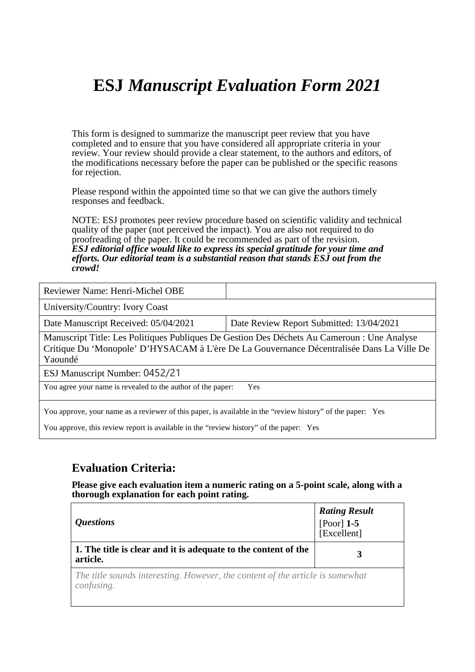### **ESJ** *Manuscript Evaluation Form 2021*

This form is designed to summarize the manuscript peer review that you have completed and to ensure that you have considered all appropriate criteria in your review. Your review should provide a clear statement, to the authors and editors, of the modifications necessary before the paper can be published or the specific reasons for rejection.

Please respond within the appointed time so that we can give the authors timely responses and feedback.

NOTE: ESJ promotes peer review procedure based on scientific validity and technical quality of the paper (not perceived the impact). You are also not required to do proofreading of the paper. It could be recommended as part of the revision. *ESJ editorial office would like to express its special gratitude for your time and efforts. Our editorial team is a substantial reason that stands ESJ out from the crowd!* 

Reviewer Name: Henri-Michel OBE

University/Country: Ivory Coast

Date Manuscript Received: 05/04/2021 Date Review Report Submitted: 13/04/2021

Manuscript Title: Les Politiques Publiques De Gestion Des Déchets Au Cameroun : Une Analyse Critique Du 'Monopole' D'HYSACAM à L'ère De La Gouvernance Décentralisée Dans La Ville De Yaoundé

ESJ Manuscript Number: 0452/21

You agree your name is revealed to the author of the paper: Yes

You approve, your name as a reviewer of this paper, is available in the "review history" of the paper: Yes

You approve, this review report is available in the "review history" of the paper: Yes

#### **Evaluation Criteria:**

**Please give each evaluation item a numeric rating on a 5-point scale, along with a thorough explanation for each point rating.**

| <i><b>Ouestions</b></i>                                                                     | <b>Rating Result</b><br>[Poor] $1-5$<br>[Excellent] |
|---------------------------------------------------------------------------------------------|-----------------------------------------------------|
| 1. The title is clear and it is adequate to the content of the<br>article.                  |                                                     |
| The title sounds interesting. However, the content of the article is somewhat<br>confusing. |                                                     |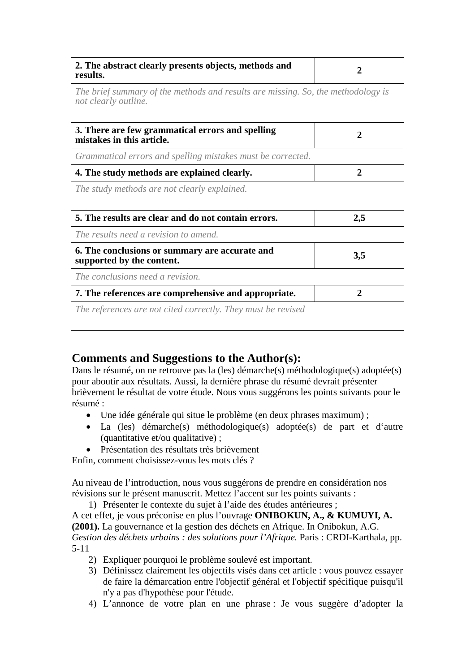| 2. The abstract clearly presents objects, methods and<br>results.                                        |              |
|----------------------------------------------------------------------------------------------------------|--------------|
| The brief summary of the methods and results are missing. So, the methodology is<br>not clearly outline. |              |
| 3. There are few grammatical errors and spelling<br>mistakes in this article.                            | $\mathbf{2}$ |
| Grammatical errors and spelling mistakes must be corrected.                                              |              |
| 4. The study methods are explained clearly.                                                              | $\mathbf{2}$ |
| The study methods are not clearly explained.                                                             |              |
| 5. The results are clear and do not contain errors.                                                      | 2,5          |
| The results need a revision to amend.                                                                    |              |
| 6. The conclusions or summary are accurate and<br>supported by the content.                              | 3,5          |
| The conclusions need a revision.                                                                         |              |
| 7. The references are comprehensive and appropriate.                                                     | 2            |
| The references are not cited correctly. They must be revised                                             |              |

#### **Comments and Suggestions to the Author(s):**

Dans le résumé, on ne retrouve pas la (les) démarche(s) méthodologique(s) adoptée(s) pour aboutir aux résultats. Aussi, la dernière phrase du résumé devrait présenter brièvement le résultat de votre étude. Nous vous suggérons les points suivants pour le résumé :

- Une idée générale qui situe le problème (en deux phrases maximum) ;
- La (les) démarche(s) méthodologique(s) adoptée(s) de part et d'autre (quantitative et/ou qualitative) ;
- Présentation des résultats très brièvement

Enfin, comment choisissez-vous les mots clés ?

Au niveau de l'introduction, nous vous suggérons de prendre en considération nos révisions sur le présent manuscrit. Mettez l'accent sur les points suivants :

1) Présenter le contexte du sujet à l'aide des études antérieures ;

A cet effet, je vous préconise en plus l'ouvrage **ONIBOKUN, A., & KUMUYI, A. (2001).** La gouvernance et la gestion des déchets en Afrique. In Onibokun, A.G. *Gestion des déchets urbains : des solutions pour l'Afrique.* Paris : CRDI-Karthala, pp. 5-11

- 2) Expliquer pourquoi le problème soulevé est important.
- 3) Définissez clairement les objectifs visés dans cet article : vous pouvez essayer de faire la démarcation entre l'objectif général et l'objectif spécifique puisqu'il n'y a pas d'hypothèse pour l'étude.
- 4) L'annonce de votre plan en une phrase : Je vous suggère d'adopter la